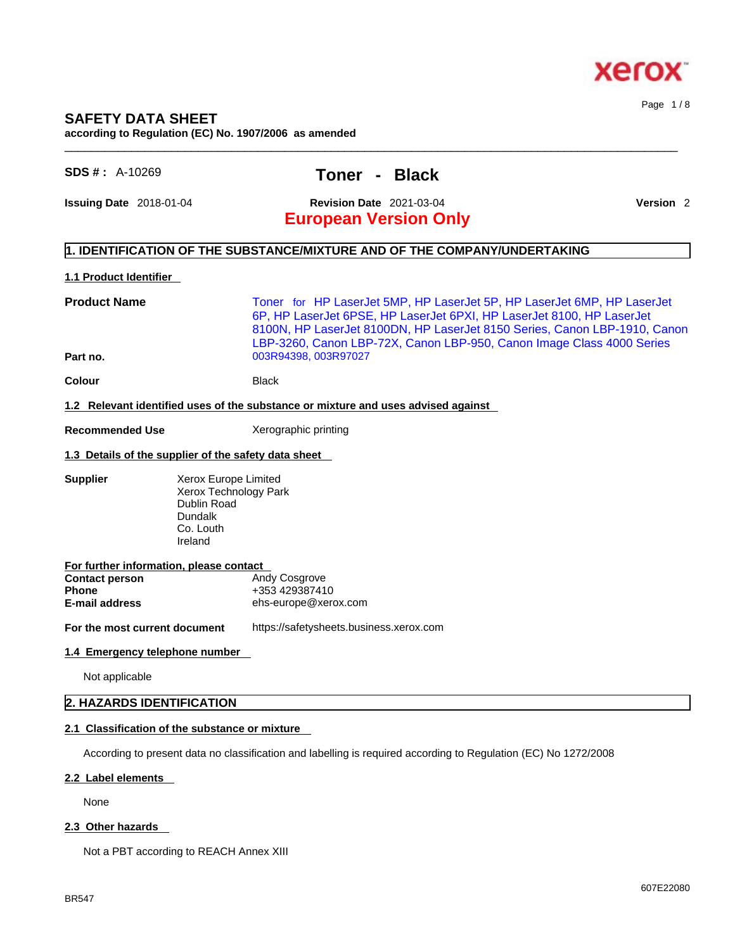

# **SAFETY DATA SHEET**

**according to Regulation (EC) No. 1907/2006 as amended** 

# **SDS # :** A-10269 **Toner - Black**

**Issuing Date** 2018-01-04 **Revision Date** 2021-03-04 **Version** 2

Page 1 / 8

# **European Version Only**

#### **1. IDENTIFICATION OF THE SUBSTANCE/MIXTURE AND OF THE COMPANY/UNDERTAKING**

#### **1.1 Product Identifier**

**Product Name** Toner for HP LaserJet 5MP, HP LaserJet 5P, HP LaserJet 6MP, HP LaserJet 6P, HP LaserJet 6PSE, HP LaserJet 6PXI, HP LaserJet 8100, HP LaserJet 8100N, HP LaserJet 8100DN, HP LaserJet 8150 Series, Canon LBP-1910, Canon LBP-3260, Canon LBP-72X, Canon LBP-950, Canon Image Class 4000 Series **Part no. Data Part no. Part no. Data Part 10. Data Part 10. Data Part 10. Part 10. Part 10. Part 10. Part 10. Part 10. Part 10. Part 10. Part 10. Part 10. Part 10. Part 10. Part 1** 

 $\_$  ,  $\_$  ,  $\_$  ,  $\_$  ,  $\_$  ,  $\_$  ,  $\_$  ,  $\_$  ,  $\_$  ,  $\_$  ,  $\_$  ,  $\_$  ,  $\_$  ,  $\_$  ,  $\_$  ,  $\_$  ,  $\_$  ,  $\_$  ,  $\_$  ,  $\_$  ,  $\_$  ,  $\_$  ,  $\_$  ,  $\_$  ,  $\_$  ,  $\_$  ,  $\_$  ,  $\_$  ,  $\_$  ,  $\_$  ,  $\_$  ,  $\_$  ,  $\_$  ,  $\_$  ,  $\_$  ,  $\_$  ,  $\_$  ,

**Colour Black** 

#### **1.2 Relevant identified uses of the substance or mixture and uses advised against**

**Recommended Use** Xerographic printing

#### **1.3 Details of the supplier of the safety data sheet**

**Supplier Xerox Europe Limited** Xerox Technology Park Dublin Road Dundalk Co. Louth Ireland

| For further information, please contact |                      |
|-----------------------------------------|----------------------|
| <b>Contact person</b>                   | <b>Andy Cosgrove</b> |
| <b>Phone</b>                            | +353 429387410       |
| E-mail address                          | ehs-europe@xerox.com |
|                                         |                      |

**For the most current document** https://safetysheets.business.xerox.com

#### **1.4 Emergency telephone number**

Not applicable

# **2. HAZARDS IDENTIFICATION**

# **2.1 Classification of the substance or mixture**

According to present data no classification and labelling is required according to Regulation (EC) No 1272/2008

# **2.2 Label elements**

None

#### **2.3 Other hazards**

Not a PBT according to REACH Annex XIII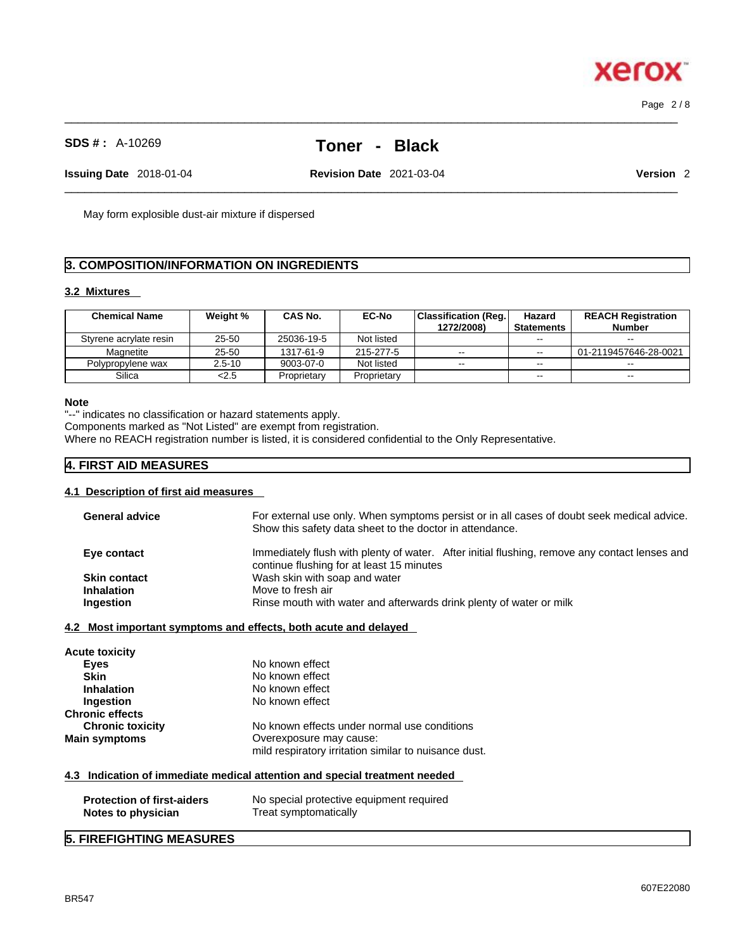# **SDS # :** A-10269 **Toner - Black**

 $\_$  ,  $\_$  ,  $\_$  ,  $\_$  ,  $\_$  ,  $\_$  ,  $\_$  ,  $\_$  ,  $\_$  ,  $\_$  ,  $\_$  ,  $\_$  ,  $\_$  ,  $\_$  ,  $\_$  ,  $\_$  ,  $\_$  ,  $\_$  ,  $\_$  ,  $\_$  ,  $\_$  ,  $\_$  ,  $\_$  ,  $\_$  ,  $\_$  ,  $\_$  ,  $\_$  ,  $\_$  ,  $\_$  ,  $\_$  ,  $\_$  ,  $\_$  ,  $\_$  ,  $\_$  ,  $\_$  ,  $\_$  ,  $\_$  ,

 $\_$  ,  $\_$  ,  $\_$  ,  $\_$  ,  $\_$  ,  $\_$  ,  $\_$  ,  $\_$  ,  $\_$  ,  $\_$  ,  $\_$  ,  $\_$  ,  $\_$  ,  $\_$  ,  $\_$  ,  $\_$  ,  $\_$  ,  $\_$  ,  $\_$  ,  $\_$  ,  $\_$  ,  $\_$  ,  $\_$  ,  $\_$  ,  $\_$  ,  $\_$  ,  $\_$  ,  $\_$  ,  $\_$  ,  $\_$  ,  $\_$  ,  $\_$  ,  $\_$  ,  $\_$  ,  $\_$  ,  $\_$  ,  $\_$  , **Issuing Date** 2018-01-04 **Revision Date** 2021-03-04 **Version** 2

May form explosible dust-air mixture if dispersed

# **3. COMPOSITION/INFORMATION ON INGREDIENTS**

# **3.2 Mixtures**

| <b>Chemical Name</b>   | Weight %   | CAS No.     | <b>EC-No</b> | <b>Classification (Reg.)</b><br>1272/2008) | Hazard<br><b>Statements</b> | <b>REACH Registration</b><br><b>Number</b> |
|------------------------|------------|-------------|--------------|--------------------------------------------|-----------------------------|--------------------------------------------|
| Styrene acrylate resin | 25-50      | 25036-19-5  | Not listed   |                                            | $- -$                       | $- -$                                      |
| Magnetite              | 25-50      | 1317-61-9   | 215-277-5    | $\sim$ $\sim$                              | $- -$                       | 01-2119457646-28-0021                      |
| Polypropylene wax      | $2.5 - 10$ | 9003-07-0   | Not listed   | $\sim$ $\sim$                              | $- -$                       | $- -$                                      |
| Silica                 | < 2.5      | Proprietary | Proprietary  |                                            | $\overline{\phantom{m}}$    | $\sim$                                     |

#### **Note**

"--" indicates no classification or hazard statements apply.

Components marked as "Not Listed" are exempt from registration.

Where no REACH registration number is listed, it is considered confidential to the Only Representative.

## **4. FIRST AID MEASURES**

#### **4.1 Description of first aid measures**

| <b>General advice</b>                                   | For external use only. When symptoms persist or in all cases of doubt seek medical advice.<br>Show this safety data sheet to the doctor in attendance. |
|---------------------------------------------------------|--------------------------------------------------------------------------------------------------------------------------------------------------------|
| Eye contact                                             | Immediately flush with plenty of water. After initial flushing, remove any contact lenses and<br>continue flushing for at least 15 minutes             |
| <b>Skin contact</b>                                     | Wash skin with soap and water                                                                                                                          |
| <b>Inhalation</b>                                       | Move to fresh air                                                                                                                                      |
| Ingestion                                               | Rinse mouth with water and afterwards drink plenty of water or milk                                                                                    |
|                                                         |                                                                                                                                                        |
|                                                         | 4.2 Most important symptoms and effects, both acute and delayed                                                                                        |
| Acute toxicity                                          |                                                                                                                                                        |
| <b>Eyes</b>                                             | No known effect                                                                                                                                        |
| <b>Skin</b>                                             | No known effect                                                                                                                                        |
| <b>Inhalation</b>                                       | No known effect                                                                                                                                        |
| Ingestion                                               | No known effect                                                                                                                                        |
| <b>Chronic effects</b>                                  |                                                                                                                                                        |
| <b>Chronic toxicity</b>                                 | No known effects under normal use conditions                                                                                                           |
| Main symptoms                                           | Overexposure may cause:                                                                                                                                |
|                                                         | mild respiratory irritation similar to nuisance dust.                                                                                                  |
|                                                         |                                                                                                                                                        |
|                                                         | 4.3 Indication of immediate medical attention and special treatment needed                                                                             |
| <b>Protection of first-aiders</b><br>Notes to physician | No special protective equipment required<br>Treat symptomatically                                                                                      |
|                                                         |                                                                                                                                                        |

# **5. FIREFIGHTING MEASURES**



Page 2 / 8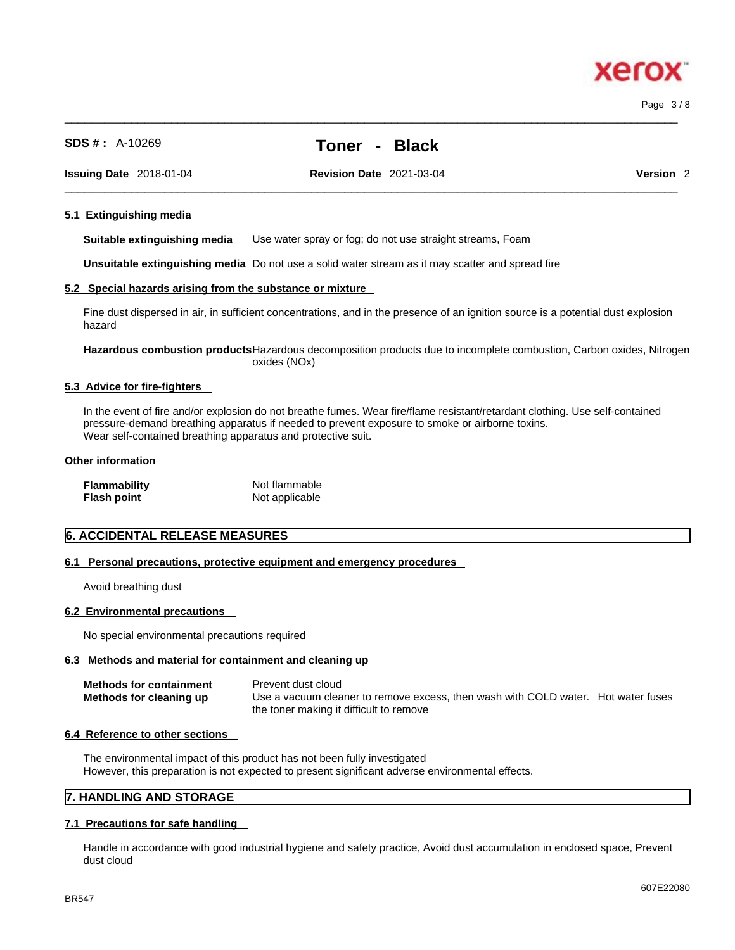Page 3 / 8

**xero** 

| <b>Issuing Date</b> 2018-01-04 |                              | <b>Revision Date 2021-03-04</b>                                                                                                      | Version <sub>2</sub> |  |
|--------------------------------|------------------------------|--------------------------------------------------------------------------------------------------------------------------------------|----------------------|--|
|                                | 5.1 Extinguishing media      |                                                                                                                                      |                      |  |
|                                | Suitable extinguishing media | Use water spray or fog; do not use straight streams, Foam                                                                            |                      |  |
|                                |                              | <b>Unsuitable extinguishing media</b> Do not use a solid water stream as it may scatter and spread fire                              |                      |  |
|                                |                              | 5.2 Special hazards arising from the substance or mixture                                                                            |                      |  |
| hazard                         |                              | Fine dust dispersed in air, in sufficient concentrations, and in the presence of an ignition source is a potential dust explosion    |                      |  |
|                                |                              | Hazardous combustion products Hazardous decomposition products due to incomplete combustion, Carbon oxides, Nitrogen<br>oxides (NOx) |                      |  |
|                                |                              |                                                                                                                                      |                      |  |

#### **5.3 Advice for fire-fighters**

In the event of fire and/or explosion do not breathe fumes. Wear fire/flame resistant/retardant clothing. Use self-contained pressure-demand breathing apparatus if needed to prevent exposure to smoke or airborne toxins. Wear self-contained breathing apparatus and protective suit.

#### **Other information**

| <b>Flammability</b> | Not flammable  |
|---------------------|----------------|
| <b>Flash point</b>  | Not applicable |

#### **6. ACCIDENTAL RELEASE MEASURES**

#### **6.1 Personal precautions, protective equipment and emergency procedures**

Avoid breathing dust

#### **6.2 Environmental precautions**

No special environmental precautions required

#### **6.3 Methods and material for containment and cleaning up**

| <b>Methods for containment</b> | Prevent dust cloud                                                                |  |
|--------------------------------|-----------------------------------------------------------------------------------|--|
| Methods for cleaning up        | Use a vacuum cleaner to remove excess, then wash with COLD water. Hot water fuses |  |
|                                | the toner making it difficult to remove                                           |  |

#### **6.4 Reference to other sections**

The environmental impact of this product has not been fully investigated However, this preparation is not expected to present significant adverse environmental effects.

### **7. HANDLING AND STORAGE**

#### **7.1 Precautions for safe handling**

Handle in accordance with good industrial hygiene and safety practice, Avoid dust accumulation in enclosed space, Prevent dust cloud

# **SDS # :** A-10269 **Toner - Black**

 $\_$  ,  $\_$  ,  $\_$  ,  $\_$  ,  $\_$  ,  $\_$  ,  $\_$  ,  $\_$  ,  $\_$  ,  $\_$  ,  $\_$  ,  $\_$  ,  $\_$  ,  $\_$  ,  $\_$  ,  $\_$  ,  $\_$  ,  $\_$  ,  $\_$  ,  $\_$  ,  $\_$  ,  $\_$  ,  $\_$  ,  $\_$  ,  $\_$  ,  $\_$  ,  $\_$  ,  $\_$  ,  $\_$  ,  $\_$  ,  $\_$  ,  $\_$  ,  $\_$  ,  $\_$  ,  $\_$  ,  $\_$  ,  $\_$  ,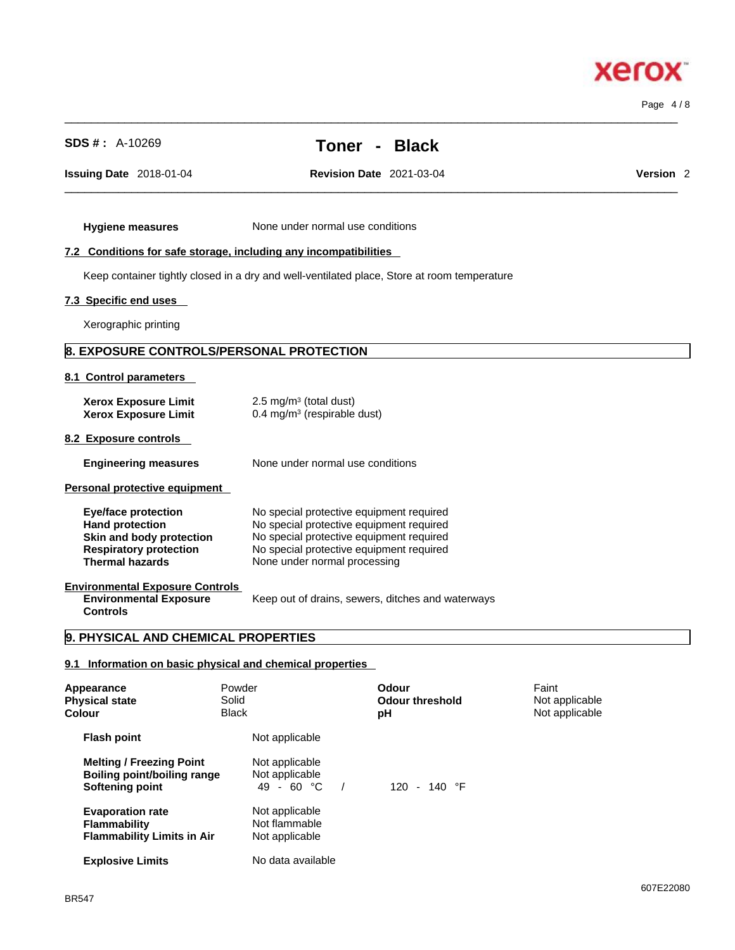607E22080

**Xerox** 

Page 4 / 8

| Issuing Date 2018-01-04                                                                                                                     | <b>Revision Date 2021-03-04</b>                                                                                                                                                                              | Version <sub>2</sub> |
|---------------------------------------------------------------------------------------------------------------------------------------------|--------------------------------------------------------------------------------------------------------------------------------------------------------------------------------------------------------------|----------------------|
| <b>Hygiene measures</b>                                                                                                                     | None under normal use conditions                                                                                                                                                                             |                      |
|                                                                                                                                             | 7.2 Conditions for safe storage, including any incompatibilities                                                                                                                                             |                      |
|                                                                                                                                             | Keep container tightly closed in a dry and well-ventilated place, Store at room temperature                                                                                                                  |                      |
| 7.3 Specific end uses                                                                                                                       |                                                                                                                                                                                                              |                      |
| Xerographic printing                                                                                                                        |                                                                                                                                                                                                              |                      |
| 8. EXPOSURE CONTROLS/PERSONAL PROTECTION                                                                                                    |                                                                                                                                                                                                              |                      |
| 8.1 Control parameters                                                                                                                      |                                                                                                                                                                                                              |                      |
| <b>Xerox Exposure Limit</b><br><b>Xerox Exposure Limit</b>                                                                                  | 2.5 mg/m $3$ (total dust)<br>$0.4$ mg/m <sup>3</sup> (respirable dust)                                                                                                                                       |                      |
| 8.2 Exposure controls                                                                                                                       |                                                                                                                                                                                                              |                      |
| <b>Engineering measures</b>                                                                                                                 | None under normal use conditions                                                                                                                                                                             |                      |
| Personal protective equipment                                                                                                               |                                                                                                                                                                                                              |                      |
| <b>Eye/face protection</b><br><b>Hand protection</b><br>Skin and body protection<br><b>Respiratory protection</b><br><b>Thermal hazards</b> | No special protective equipment required<br>No special protective equipment required<br>No special protective equipment required<br>No special protective equipment required<br>None under normal processing |                      |
| <b>Environmental Exposure Controls</b><br><b>Environmental Exposure</b><br><b>Controls</b>                                                  | Keep out of drains, sewers, ditches and waterways                                                                                                                                                            |                      |

| Appearance<br><b>Physical state</b><br>Colour                                            | Powder<br>Solid<br><b>Black</b> |                                                   | Odour<br><b>Odour threshold</b><br>рH | Faint<br>Not applicable<br>Not applicable |  |
|------------------------------------------------------------------------------------------|---------------------------------|---------------------------------------------------|---------------------------------------|-------------------------------------------|--|
| <b>Flash point</b>                                                                       |                                 | Not applicable                                    |                                       |                                           |  |
| <b>Melting / Freezing Point</b><br><b>Boiling point/boiling range</b><br>Softening point |                                 | Not applicable<br>Not applicable<br>$49 - 60 °C$  | $120 - 140$ °F                        |                                           |  |
| <b>Evaporation rate</b><br><b>Flammability</b><br><b>Flammability Limits in Air</b>      |                                 | Not applicable<br>Not flammable<br>Not applicable |                                       |                                           |  |
| <b>Explosive Limits</b>                                                                  |                                 | No data available                                 |                                       |                                           |  |

# **SDS # :** A-10269 **Toner - Black**

 $\_$  ,  $\_$  ,  $\_$  ,  $\_$  ,  $\_$  ,  $\_$  ,  $\_$  ,  $\_$  ,  $\_$  ,  $\_$  ,  $\_$  ,  $\_$  ,  $\_$  ,  $\_$  ,  $\_$  ,  $\_$  ,  $\_$  ,  $\_$  ,  $\_$  ,  $\_$  ,  $\_$  ,  $\_$  ,  $\_$  ,  $\_$  ,  $\_$  ,  $\_$  ,  $\_$  ,  $\_$  ,  $\_$  ,  $\_$  ,  $\_$  ,  $\_$  ,  $\_$  ,  $\_$  ,  $\_$  ,  $\_$  ,  $\_$  ,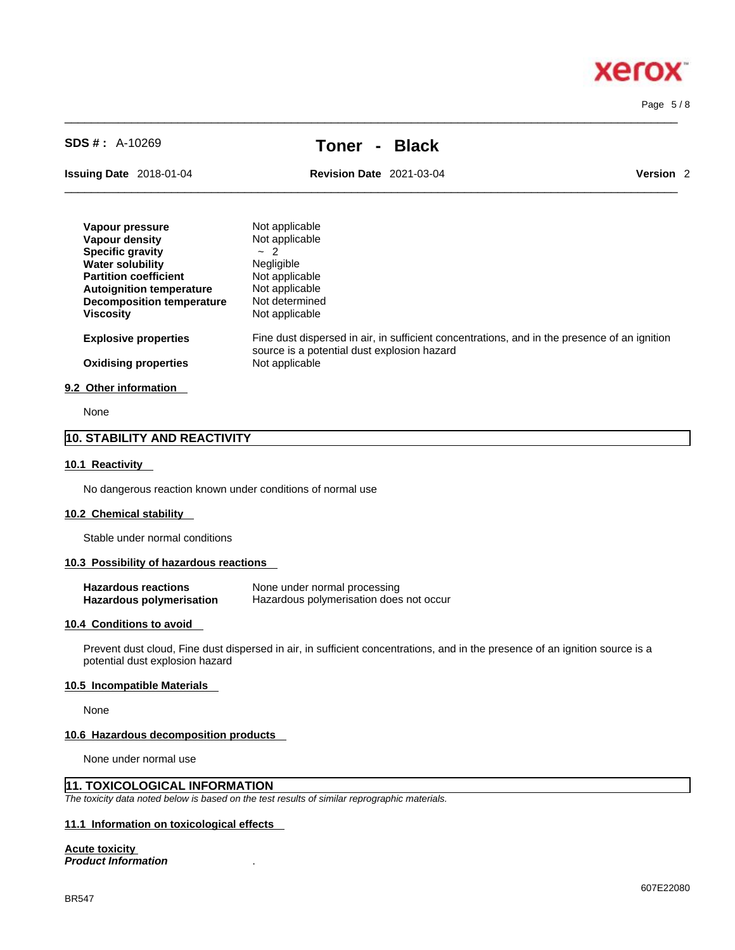x

**Xero** 

# **SDS # :** A-10269 **Toner - Black**

 $\_$  ,  $\_$  ,  $\_$  ,  $\_$  ,  $\_$  ,  $\_$  ,  $\_$  ,  $\_$  ,  $\_$  ,  $\_$  ,  $\_$  ,  $\_$  ,  $\_$  ,  $\_$  ,  $\_$  ,  $\_$  ,  $\_$  ,  $\_$  ,  $\_$  ,  $\_$  ,  $\_$  ,  $\_$  ,  $\_$  ,  $\_$  ,  $\_$  ,  $\_$  ,  $\_$  ,  $\_$  ,  $\_$  ,  $\_$  ,  $\_$  ,  $\_$  ,  $\_$  ,  $\_$  ,  $\_$  ,  $\_$  ,  $\_$  ,

**Issuing Date** 2018-01-04 **Revision Date** 2021-03-04

| <b>Date</b><br>Issuing | 2018-01-04 | 2021-03-04<br>Date<br><b>Revision</b> |  |
|------------------------|------------|---------------------------------------|--|
|                        |            |                                       |  |

| Vapour pressure                  | Not applicable                                                                                                                              |
|----------------------------------|---------------------------------------------------------------------------------------------------------------------------------------------|
| Vapour density                   | Not applicable                                                                                                                              |
| <b>Specific gravity</b>          | $-2$                                                                                                                                        |
| <b>Water solubility</b>          | <b>Negligible</b>                                                                                                                           |
| <b>Partition coefficient</b>     | Not applicable                                                                                                                              |
| <b>Autoignition temperature</b>  | Not applicable                                                                                                                              |
| <b>Decomposition temperature</b> | Not determined                                                                                                                              |
| <b>Viscosity</b>                 | Not applicable                                                                                                                              |
| <b>Explosive properties</b>      | Fine dust dispersed in air, in sufficient concentrations, and in the presence of an ignition<br>source is a potential dust explosion hazard |
| <b>Oxidising properties</b>      | Not applicable                                                                                                                              |
| 9.2 Other information            |                                                                                                                                             |

# None

# **10. STABILITY AND REACTIVITY**

#### **10.1 Reactivity**

No dangerous reaction known under conditions of normal use

#### **10.2 Chemical stability**

Stable under normal conditions

#### **10.3 Possibility of hazardous reactions**

| <b>Hazardous reactions</b> | None under normal processing            |
|----------------------------|-----------------------------------------|
| Hazardous polymerisation   | Hazardous polymerisation does not occur |

#### **10.4 Conditions to avoid**

Prevent dust cloud, Fine dust dispersed in air, in sufficient concentrations, and in the presence of an ignition source is a potential dust explosion hazard

#### **10.5 Incompatible Materials**

None

#### **10.6 Hazardous decomposition products**

None under normal use

# **11. TOXICOLOGICAL INFORMATION**

*The toxicity data noted below is based on the test results of similar reprographic materials.* 

### **11.1 Information on toxicological effects**

#### **Acute toxicity**

*Product Information* .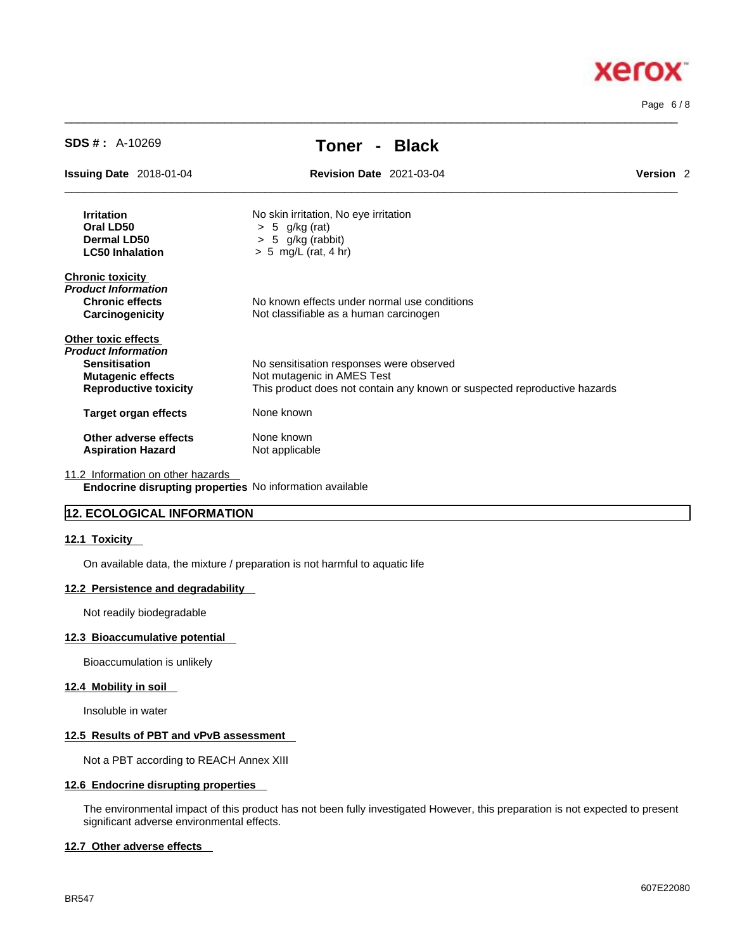# **Xerox**

Page 6 / 8

| <b>SDS #</b> : $A-10269$                                                                                                       | <b>Black</b><br>Toner                                                                                                                               |                      |
|--------------------------------------------------------------------------------------------------------------------------------|-----------------------------------------------------------------------------------------------------------------------------------------------------|----------------------|
| <b>Issuing Date 2018-01-04</b>                                                                                                 | <b>Revision Date 2021-03-04</b>                                                                                                                     | Version <sub>2</sub> |
| <b>Irritation</b><br>Oral LD50<br><b>Dermal LD50</b><br><b>LC50 Inhalation</b>                                                 | No skin irritation, No eye irritation<br>$> 5$ g/kg (rat)<br>5 g/kg (rabbit)<br>⋗<br>$> 5$ mg/L (rat, 4 hr)                                         |                      |
| <b>Chronic toxicity</b><br>Product Information<br><b>Chronic effects</b><br>Carcinogenicity                                    | No known effects under normal use conditions<br>Not classifiable as a human carcinogen                                                              |                      |
| Other toxic effects<br>Product Information<br><b>Sensitisation</b><br><b>Mutagenic effects</b><br><b>Reproductive toxicity</b> | No sensitisation responses were observed<br>Not mutagenic in AMES Test<br>This product does not contain any known or suspected reproductive hazards |                      |
| <b>Target organ effects</b>                                                                                                    | None known                                                                                                                                          |                      |
| Other adverse effects<br><b>Aspiration Hazard</b>                                                                              | None known<br>Not applicable                                                                                                                        |                      |
| 11.2 Information on other hazards                                                                                              | Endocrine disrupting properties No information available                                                                                            |                      |

 $\_$  ,  $\_$  ,  $\_$  ,  $\_$  ,  $\_$  ,  $\_$  ,  $\_$  ,  $\_$  ,  $\_$  ,  $\_$  ,  $\_$  ,  $\_$  ,  $\_$  ,  $\_$  ,  $\_$  ,  $\_$  ,  $\_$  ,  $\_$  ,  $\_$  ,  $\_$  ,  $\_$  ,  $\_$  ,  $\_$  ,  $\_$  ,  $\_$  ,  $\_$  ,  $\_$  ,  $\_$  ,  $\_$  ,  $\_$  ,  $\_$  ,  $\_$  ,  $\_$  ,  $\_$  ,  $\_$  ,  $\_$  ,  $\_$  ,

#### **12. ECOLOGICAL INFORMATION**

#### **12.1 Toxicity**

On available data, the mixture / preparation is not harmful to aquatic life

#### **12.2 Persistence and degradability**

Not readily biodegradable

#### **12.3 Bioaccumulative potential**

Bioaccumulation is unlikely

#### **12.4 Mobility in soil**

Insoluble in water

# **12.5 Results of PBT and vPvB assessment**

Not a PBT according to REACH Annex XIII

#### **12.6 Endocrine disrupting properties**

The environmental impact of this product has not been fully investigated However, this preparation is not expected to present significant adverse environmental effects.

#### **12.7 Other adverse effects**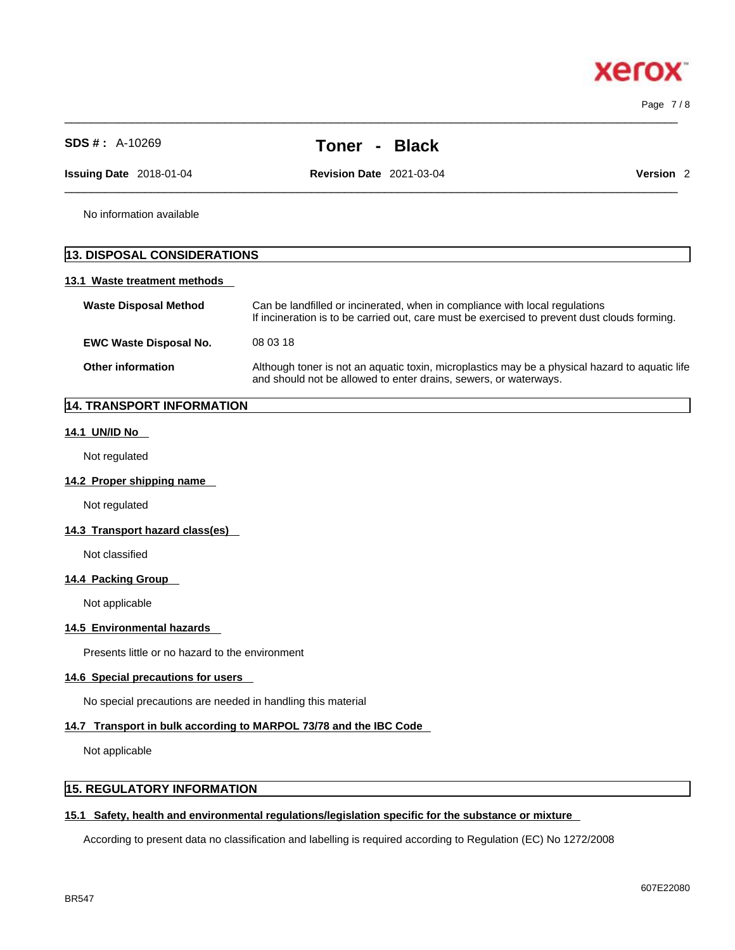$\_$  ,  $\_$  ,  $\_$  ,  $\_$  ,  $\_$  ,  $\_$  ,  $\_$  ,  $\_$  ,  $\_$  ,  $\_$  ,  $\_$  ,  $\_$  ,  $\_$  ,  $\_$  ,  $\_$  ,  $\_$  ,  $\_$  ,  $\_$  ,  $\_$  ,  $\_$  ,  $\_$  ,  $\_$  ,  $\_$  ,  $\_$  ,  $\_$  ,  $\_$  ,  $\_$  ,  $\_$  ,  $\_$  ,  $\_$  ,  $\_$  ,  $\_$  ,  $\_$  ,  $\_$  ,  $\_$  ,  $\_$  ,  $\_$  , Page 7 / 8

| <b>SDS #: A-10269</b>              | <b>Black</b><br>Toner                                                                                                                                              |                                                                                                                                                                             |  |
|------------------------------------|--------------------------------------------------------------------------------------------------------------------------------------------------------------------|-----------------------------------------------------------------------------------------------------------------------------------------------------------------------------|--|
| <b>Issuing Date</b> 2018-01-04     | <b>Revision Date 2021-03-04</b>                                                                                                                                    | Version <sub>2</sub>                                                                                                                                                        |  |
| No information available           |                                                                                                                                                                    |                                                                                                                                                                             |  |
| <b>13. DISPOSAL CONSIDERATIONS</b> |                                                                                                                                                                    |                                                                                                                                                                             |  |
| 13.1 Waste treatment methods       |                                                                                                                                                                    |                                                                                                                                                                             |  |
| <b>Waste Disposal Method</b>       |                                                                                                                                                                    | Can be landfilled or incinerated, when in compliance with local regulations<br>If incineration is to be carried out, care must be exercised to prevent dust clouds forming. |  |
| <b>EWC Waste Disposal No.</b>      | 08 03 18                                                                                                                                                           |                                                                                                                                                                             |  |
| <b>Other information</b>           | Although toner is not an aquatic toxin, microplastics may be a physical hazard to aquatic life<br>and should not be allowed to enter drains, sewers, or waterways. |                                                                                                                                                                             |  |

# **14. TRANSPORT INFORMATION**

#### **14.1 UN/ID No**

Not regulated

#### **14.2 Proper shipping name**

Not regulated

#### **14.3 Transport hazard class(es)**

Not classified

#### **14.4 Packing Group**

Not applicable

#### **14.5 Environmental hazards**

Presents little or no hazard to the environment

#### **14.6 Special precautions for users**

No special precautions are needed in handling this material

#### **14.7 Transport in bulk according to MARPOL 73/78 and the IBC Code**

Not applicable

# **15. REGULATORY INFORMATION**

#### **15.1 Safety, health and environmental regulations/legislation specific for the substance or mixture**

According to present data no classification and labelling is required according to Regulation (EC) No 1272/2008

# **Xero**